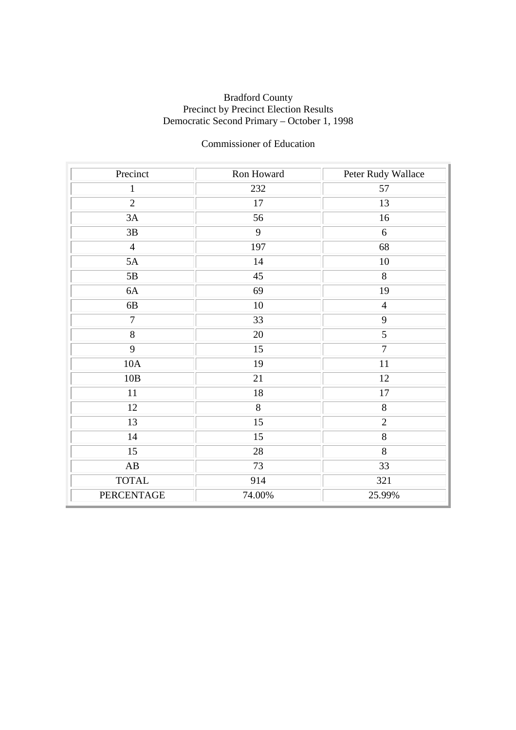### Bradford County Precinct by Precinct Election Results Democratic Second Primary – October 1, 1998

## Commissioner of Education

| Precinct               | Ron Howard | Peter Rudy Wallace |
|------------------------|------------|--------------------|
| $\mathbf{1}$           | 232        | 57                 |
| $\overline{2}$         | 17         | 13                 |
| 3A                     | 56         | 16                 |
| $3\mathrm{B}$          | 9          | $6\,$              |
| $\overline{4}$         | 197        | 68                 |
| 5A                     | 14         | 10                 |
| 5B                     | 45         | 8                  |
| 6A                     | 69         | 19                 |
| $6B$                   | $10\,$     | $\overline{4}$     |
| $\overline{7}$         | 33         | $\overline{9}$     |
| $\overline{8}$         | 20         | $\overline{5}$     |
| 9                      | 15         | $\overline{7}$     |
| 10A                    | 19         | 11                 |
| 10B                    | 21         | $12\,$             |
| 11                     | $18\,$     | $17\,$             |
| 12                     | 8          | $8\,$              |
| 13                     | 15         | $\overline{2}$     |
| 14                     | 15         | $\overline{8}$     |
| $\overline{15}$        | $28\,$     | $\overline{8}$     |
| $\mathbf{A}\mathbf{B}$ | 73         | 33                 |
| <b>TOTAL</b>           | 914        | 321                |
| <b>PERCENTAGE</b>      | 74.00%     | 25.99%             |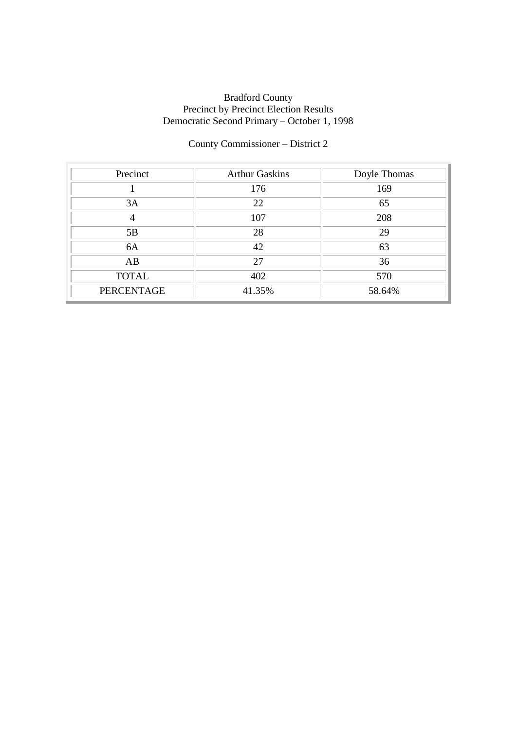### Bradford County Precinct by Precinct Election Results Democratic Second Primary – October 1, 1998

# County Commissioner – District 2

| Precinct          | <b>Arthur Gaskins</b> | Doyle Thomas |
|-------------------|-----------------------|--------------|
|                   | 176                   | 169          |
| 3A                | 22                    | 65           |
| $\overline{4}$    | 107                   | 208          |
| 5B                | 28                    | 29           |
| 6A                | 42                    | 63           |
| AB                | 27                    | 36           |
| <b>TOTAL</b>      | 402                   | 570          |
| <b>PERCENTAGE</b> | 41.35%                | 58.64%       |